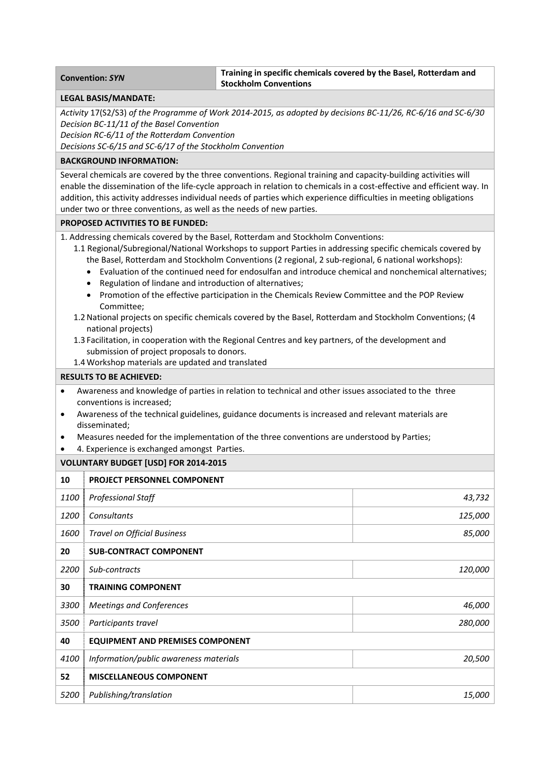## **Convention:** *SYN* **Training in specific chemicals covered by the Basel, Rotterdam and Stockholm Conventions**

#### **LEGAL BASIS/MANDATE:**

Activity 17(S2/S3) of the Programme of Work 2014-2015, as adopted by decisions BC-11/26, RC-6/16 and SC-6/30 *Decision BC‐11/11 of the Basel Convention*

*Decision RC‐6/11 of the Rotterdam Convention*

*Decisions SC‐6/15 and SC‐6/17 of the Stockholm Convention*

### **BACKGROUND INFORMATION:**

Several chemicals are covered by the three conventions. Regional training and capacity‐building activities will enable the dissemination of the life-cycle approach in relation to chemicals in a cost-effective and efficient way. In addition, this activity addresses individual needs of parties which experience difficulties in meeting obligations under two or three conventions, as well as the needs of new parties.

### **PROPOSED ACTIVITIES TO BE FUNDED:**

1. Addressing chemicals covered by the Basel, Rotterdam and Stockholm Conventions:

- 1.1 Regional/Subregional/National Workshops to support Parties in addressing specific chemicals covered by the Basel, Rotterdam and Stockholm Conventions (2 regional, 2 sub-regional, 6 national workshops):
	- Evaluation of the continued need for endosulfan and introduce chemical and nonchemical alternatives;
	- Regulation of lindane and introduction of alternatives;
	- Promotion of the effective participation in the Chemicals Review Committee and the POP Review Committee;
- 1.2National projects on specific chemicals covered by the Basel, Rotterdam and Stockholm Conventions; (4 national projects)
- 1.3 Facilitation, in cooperation with the Regional Centres and key partners, of the development and submission of project proposals to donors.
- 1.4 Workshop materials are updated and translated

### **RESULTS TO BE ACHIEVED:**

- Awareness and knowledge of parties in relation to technical and other issues associated to the three conventions is increased;
- Awareness of the technical guidelines, guidance documents is increased and relevant materials are disseminated;
- Measures needed for the implementation of the three conventions are understood by Parties;
- 4. Experience is exchanged amongst Parties.

# **VOLUNTARY BUDGET [USD] FOR 2014‐2015**

| 10   | <b>PROJECT PERSONNEL COMPONENT</b>      |               |
|------|-----------------------------------------|---------------|
| 1100 | <b>Professional Staff</b>               | 43,732        |
| 1200 | Consultants                             | 125,000       |
| 1600 | <b>Travel on Official Business</b>      | 85,000        |
| 20   | <b>SUB-CONTRACT COMPONENT</b>           |               |
| 2200 | Sub-contracts                           | 120,000       |
| 30   | <b>TRAINING COMPONENT</b>               |               |
| 3300 | <b>Meetings and Conferences</b>         | 46,000        |
| 3500 | Participants travel                     | 280,000       |
| 40   | <b>EQUIPMENT AND PREMISES COMPONENT</b> |               |
| 4100 | Information/public awareness materials  | 20,500        |
| 52   | <b>MISCELLANEOUS COMPONENT</b>          |               |
| 5200 | Publishing/translation                  | <i>15,000</i> |